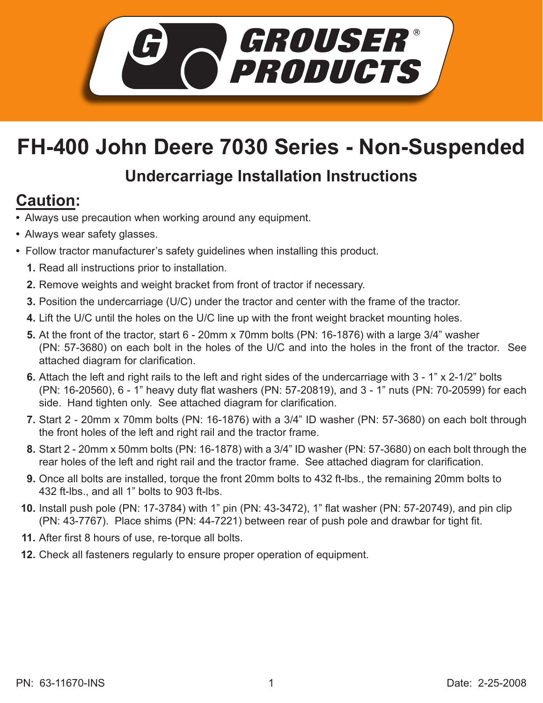

## **FH-400 John Deere 7030 Series - Non-Suspended**

## **Undercarriage Installation Instructions**

## **Caution:**

- Always use precaution when working around any equipment.
- Always wear safety glasses.
- Follow tractor manufacturer's safety guidelines when installing this product.
	- **1.** Read all instructions prior to installation.
	- **2.** Remove weights and weight bracket from front of tractor if necessary.
	- **3.** Position the undercarriage (U/C) under the tractor and center with the frame of the tractor.
	- Lift the U/C until the holes on the U/C line up with the front weight bracket mounting holes. **4.**
	- **5.** At the front of the tractor, start 6 20mm x 70mm bolts (PN: 16-1876) with a large 3/4" washer (PN: 57-3680) on each bolt in the holes of the U/C and into the holes in the front of the tractor. See attached diagram for clarification.
	- **6.** Attach the left and right rails to the left and right sides of the undercarriage with 3 1" x 2-1/2" bolts (PN: 16-20560), 6 - 1" heavy duty flat washers (PN: 57-20819), and 3 - 1" nuts (PN: 70-20599) for each side. Hand tighten only. See attached diagram for clarification.
	- Start 2 20mm x 70mm bolts (PN: 16-1876) with a 3/4" ID washer (PN: 57-3680) on each bolt through **7.** the front holes of the left and right rail and the tractor frame.
	- Start 2 20mm x 50mm bolts (PN: 16-1878) with a 3/4" ID washer (PN: 57-3680) on each bolt through the **8.** rear holes of the left and right rail and the tractor frame. See attached diagram for clarification.
	- Once all bolts are installed, torque the front 20mm bolts to 432 ft-lbs., the remaining 20mm bolts to **9.** 432 ft-lbs., and all 1" bolts to 903 ft-lbs.
	- **10.** Install push pole (PN: 17-3784) with 1" pin (PN: 43-3472), 1" flat washer (PN: 57-20749), and pin clip (PN: 43-7767). Place shims (PN: 44-7221) between rear of push pole and drawbar for tight fit.
	- After first 8 hours of use, re-torque all bolts. **11.**
	- **12.** Check all fasteners regularly to ensure proper operation of equipment.